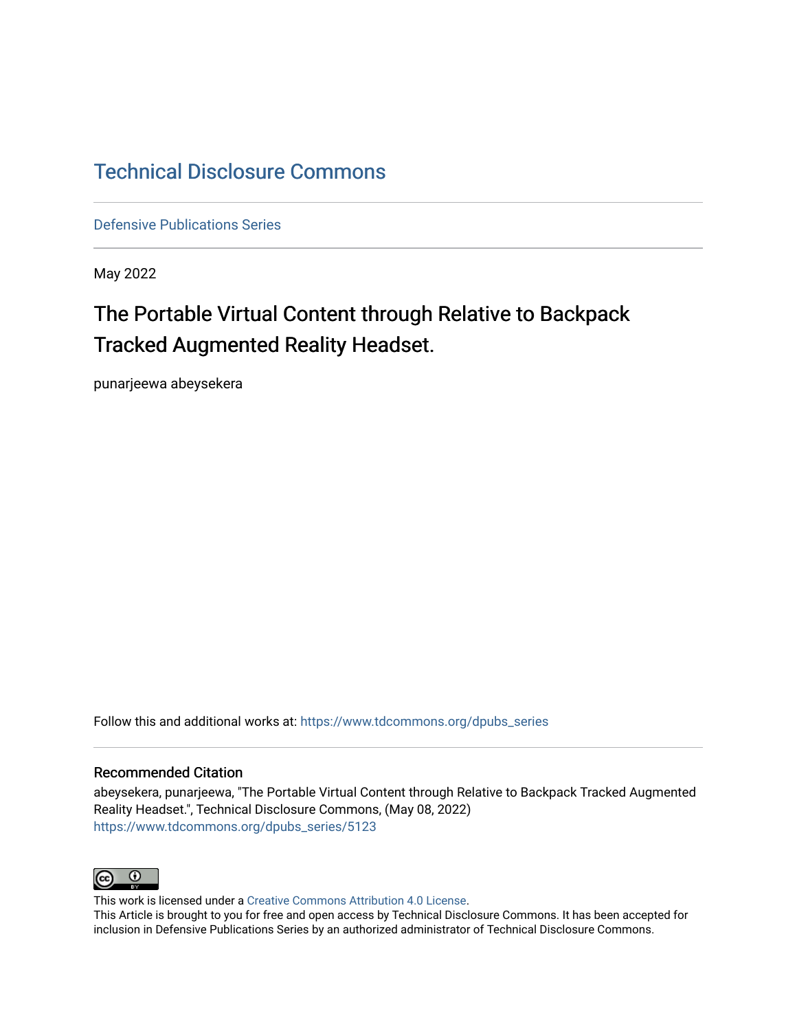## [Technical Disclosure Commons](https://www.tdcommons.org/)

[Defensive Publications Series](https://www.tdcommons.org/dpubs_series)

May 2022

# The Portable Virtual Content through Relative to Backpack Tracked Augmented Reality Headset.

punarjeewa abeysekera

Follow this and additional works at: [https://www.tdcommons.org/dpubs\\_series](https://www.tdcommons.org/dpubs_series?utm_source=www.tdcommons.org%2Fdpubs_series%2F5123&utm_medium=PDF&utm_campaign=PDFCoverPages) 

#### Recommended Citation

abeysekera, punarjeewa, "The Portable Virtual Content through Relative to Backpack Tracked Augmented Reality Headset.", Technical Disclosure Commons, (May 08, 2022) [https://www.tdcommons.org/dpubs\\_series/5123](https://www.tdcommons.org/dpubs_series/5123?utm_source=www.tdcommons.org%2Fdpubs_series%2F5123&utm_medium=PDF&utm_campaign=PDFCoverPages)



This work is licensed under a [Creative Commons Attribution 4.0 License](http://creativecommons.org/licenses/by/4.0/deed.en_US).

This Article is brought to you for free and open access by Technical Disclosure Commons. It has been accepted for inclusion in Defensive Publications Series by an authorized administrator of Technical Disclosure Commons.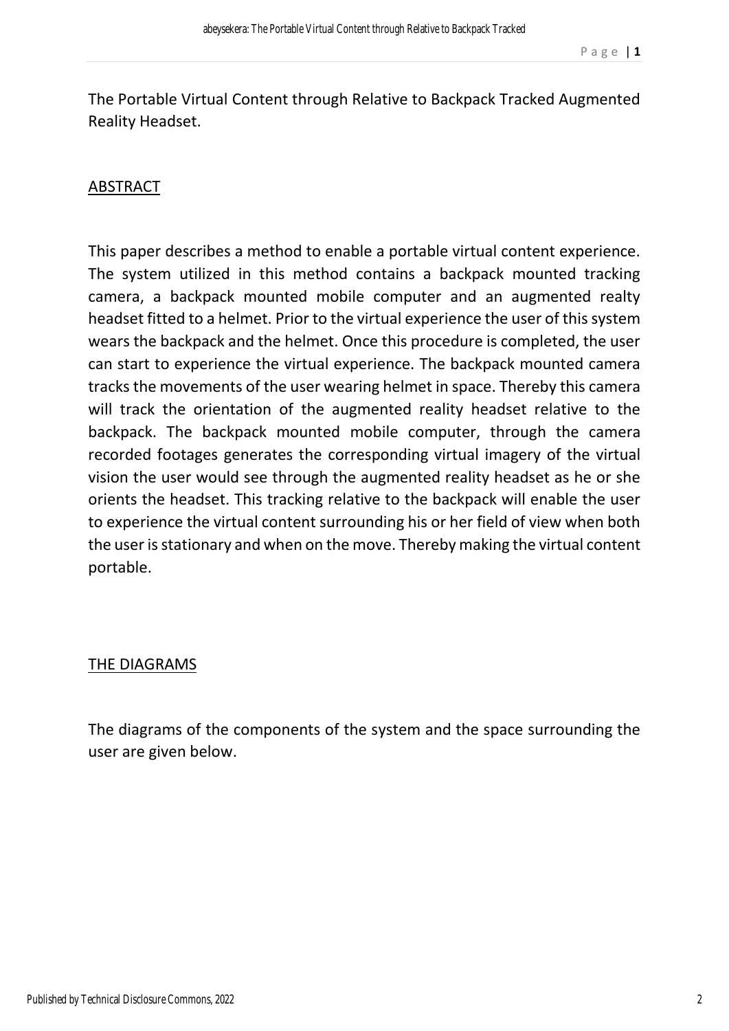The Portable Virtual Content through Relative to Backpack Tracked Augmented Reality Headset.

### ABSTRACT

This paper describes a method to enable a portable virtual content experience. The system utilized in this method contains a backpack mounted tracking camera, a backpack mounted mobile computer and an augmented realty headset fitted to a helmet. Prior to the virtual experience the user of this system wears the backpack and the helmet. Once this procedure is completed, the user can start to experience the virtual experience. The backpack mounted camera tracks the movements of the user wearing helmet in space. Thereby this camera will track the orientation of the augmented reality headset relative to the backpack. The backpack mounted mobile computer, through the camera recorded footages generates the corresponding virtual imagery of the virtual vision the user would see through the augmented reality headset as he or she orients the headset. This tracking relative to the backpack will enable the user to experience the virtual content surrounding his or her field of view when both the user is stationary and when on the move. Thereby making the virtual content portable.

#### THE DIAGRAMS

The diagrams of the components of the system and the space surrounding the user are given below.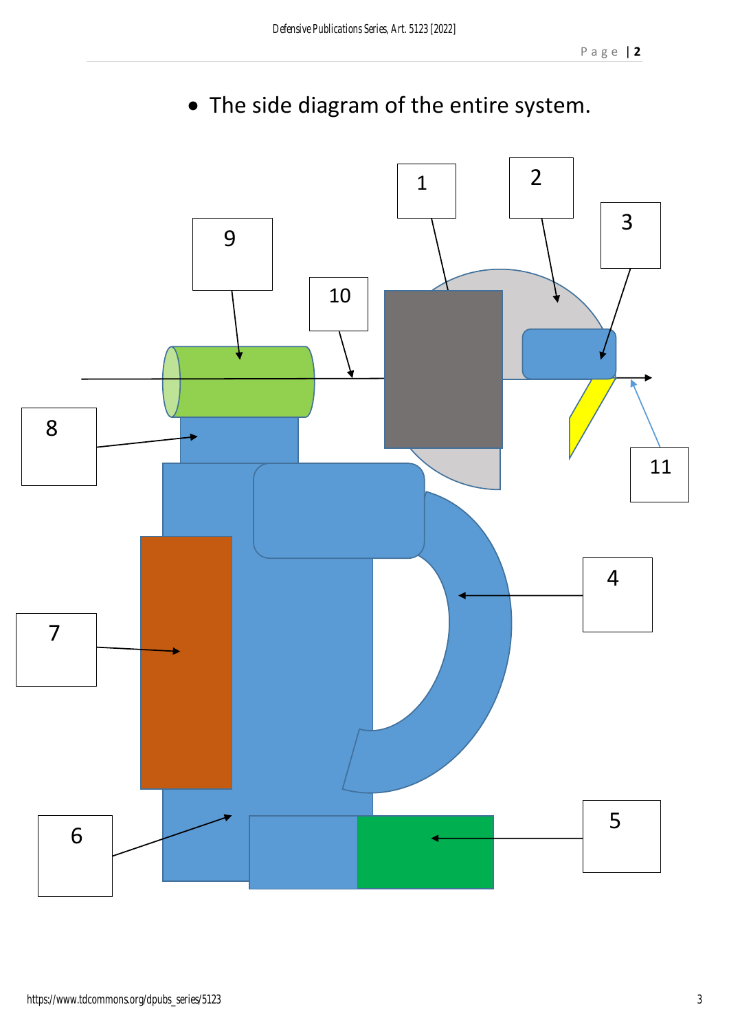

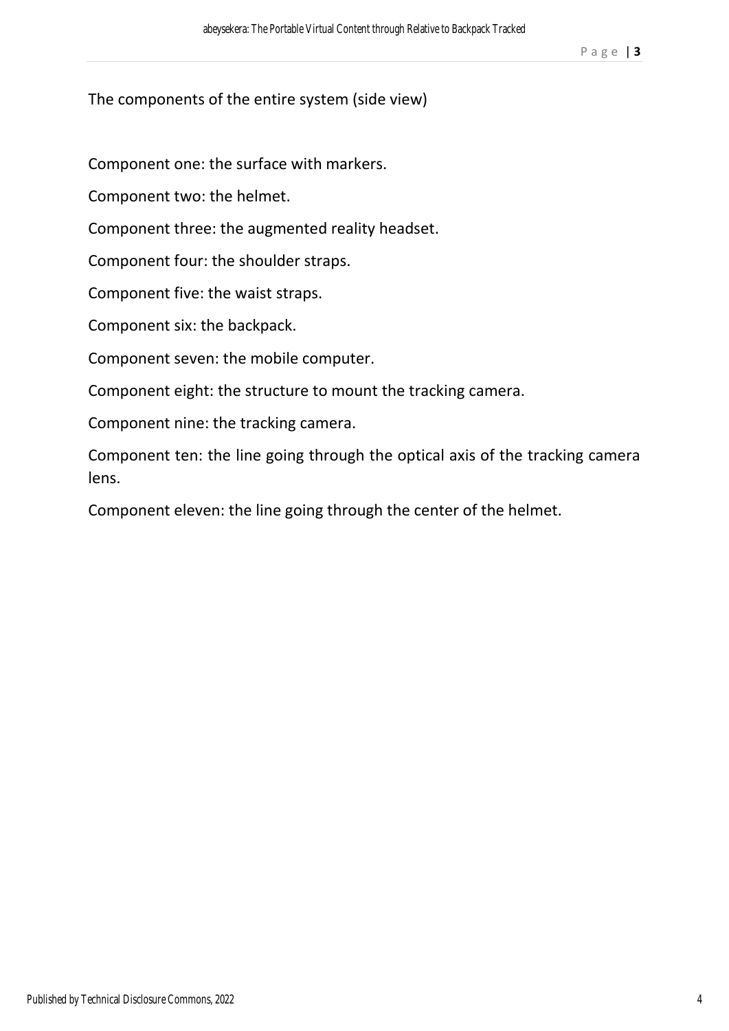The components of the entire system (side view)

Component one: the surface with markers.

Component two: the helmet.

Component three: the augmented reality headset.

Component four: the shoulder straps.

Component five: the waist straps.

Component six: the backpack.

Component seven: the mobile computer.

Component eight: the structure to mount the tracking camera.

Component nine: the tracking camera.

Component ten: the line going through the optical axis of the tracking camera lens.

Component eleven: the line going through the center of the helmet.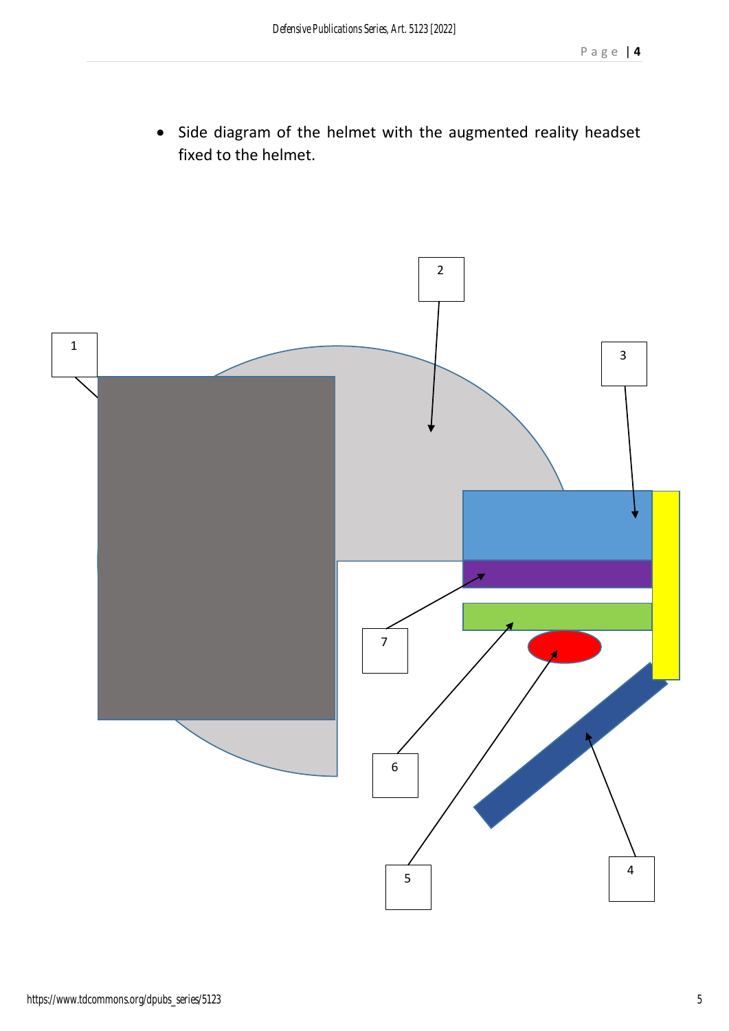• Side diagram of the helmet with the augmented reality headset fixed to the helmet.

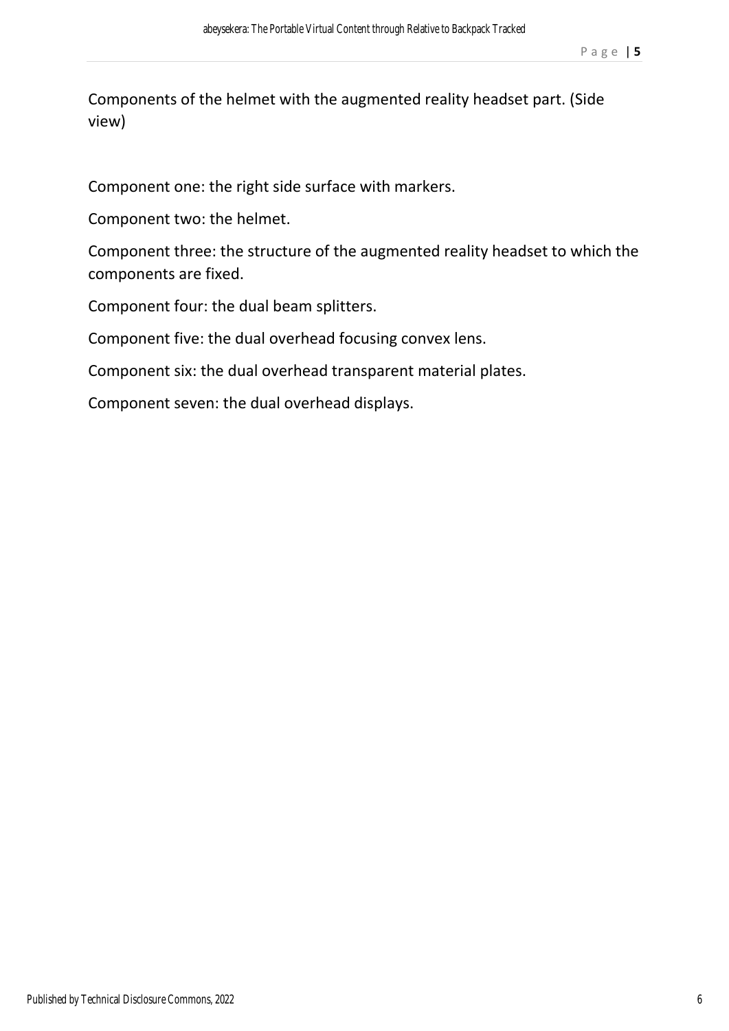Components of the helmet with the augmented reality headset part. (Side view)

Component one: the right side surface with markers.

Component two: the helmet.

Component three: the structure of the augmented reality headset to which the components are fixed.

Component four: the dual beam splitters.

Component five: the dual overhead focusing convex lens.

Component six: the dual overhead transparent material plates.

Component seven: the dual overhead displays.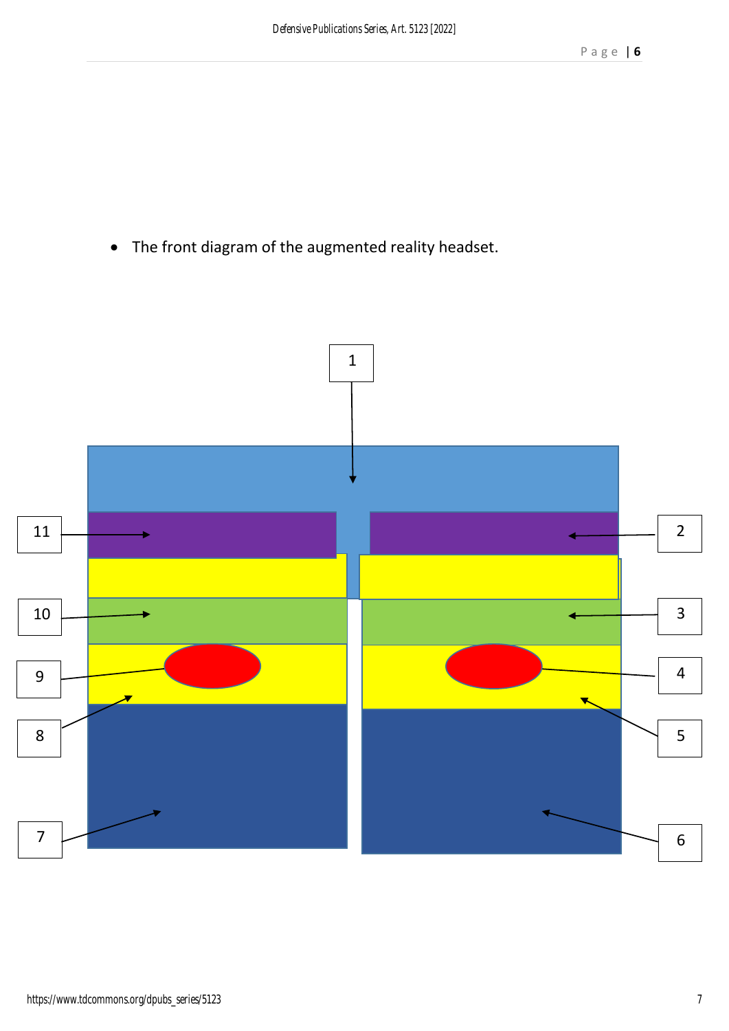The front diagram of the augmented reality headset.

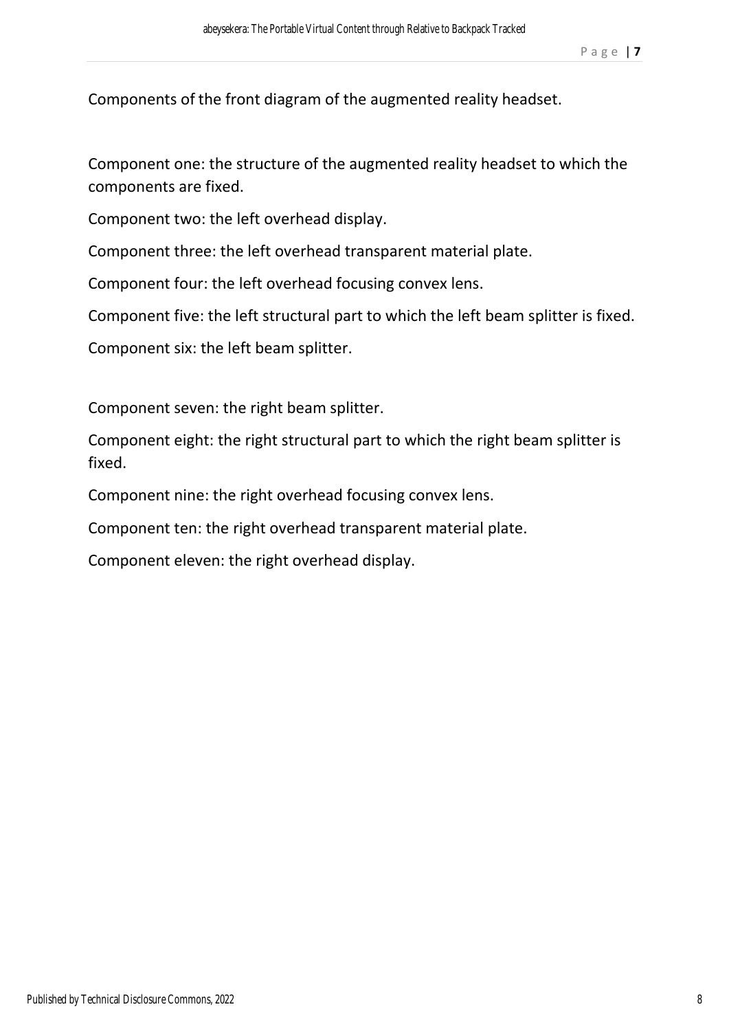Components of the front diagram of the augmented reality headset.

Component one: the structure of the augmented reality headset to which the components are fixed.

Component two: the left overhead display.

Component three: the left overhead transparent material plate.

Component four: the left overhead focusing convex lens.

Component five: the left structural part to which the left beam splitter is fixed.

Component six: the left beam splitter.

Component seven: the right beam splitter.

Component eight: the right structural part to which the right beam splitter is fixed.

Component nine: the right overhead focusing convex lens.

Component ten: the right overhead transparent material plate.

Component eleven: the right overhead display.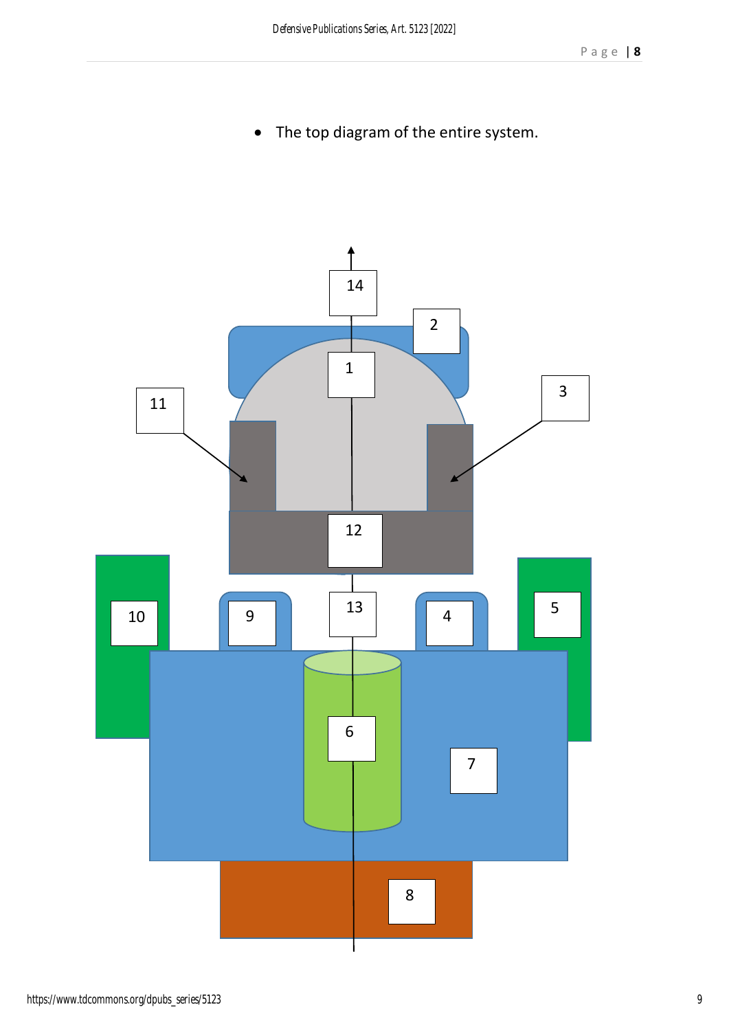• The top diagram of the entire system.

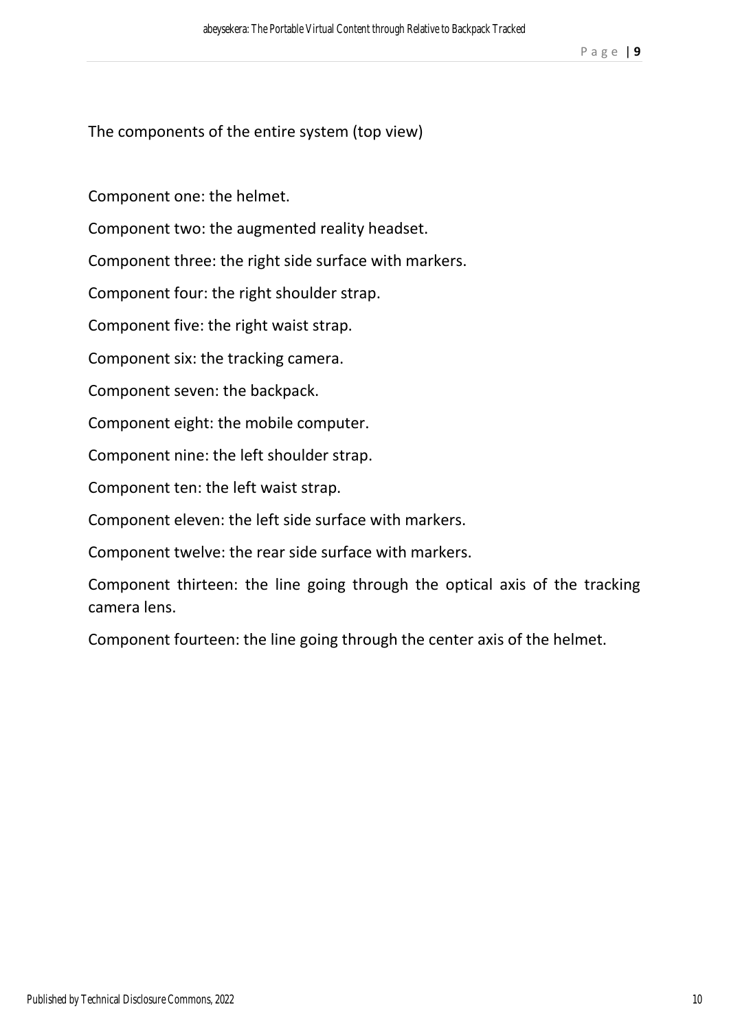The components of the entire system (top view)

Component one: the helmet.

Component two: the augmented reality headset.

Component three: the right side surface with markers.

Component four: the right shoulder strap.

Component five: the right waist strap.

Component six: the tracking camera.

Component seven: the backpack.

Component eight: the mobile computer.

Component nine: the left shoulder strap.

Component ten: the left waist strap.

Component eleven: the left side surface with markers.

Component twelve: the rear side surface with markers.

Component thirteen: the line going through the optical axis of the tracking camera lens.

Component fourteen: the line going through the center axis of the helmet.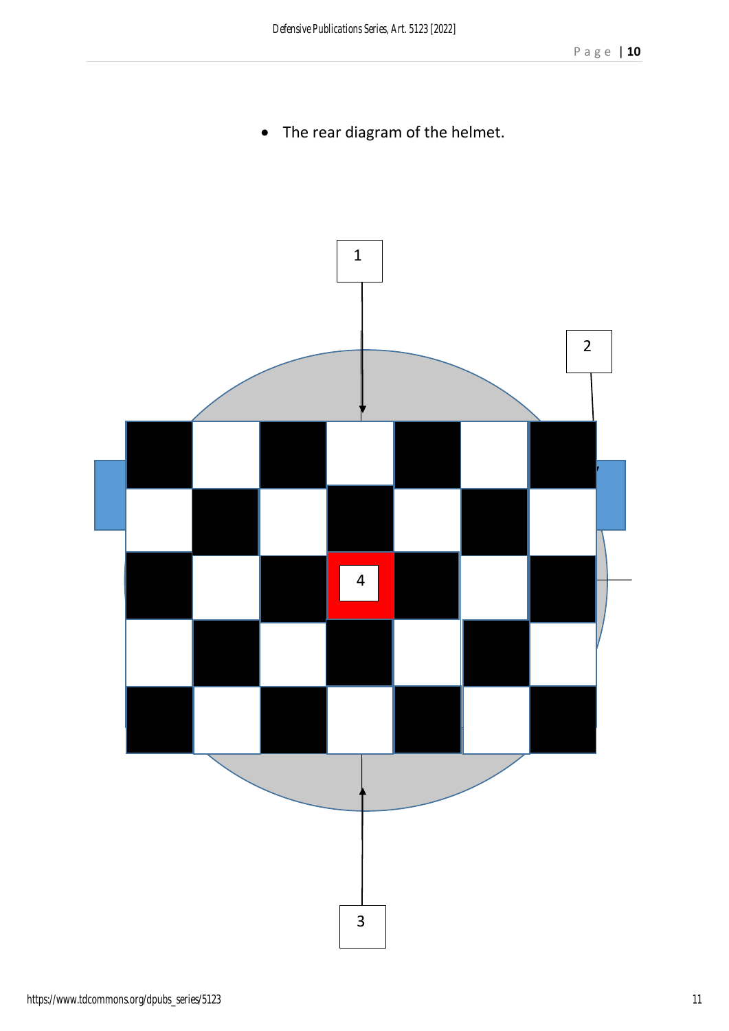The rear diagram of the helmet.

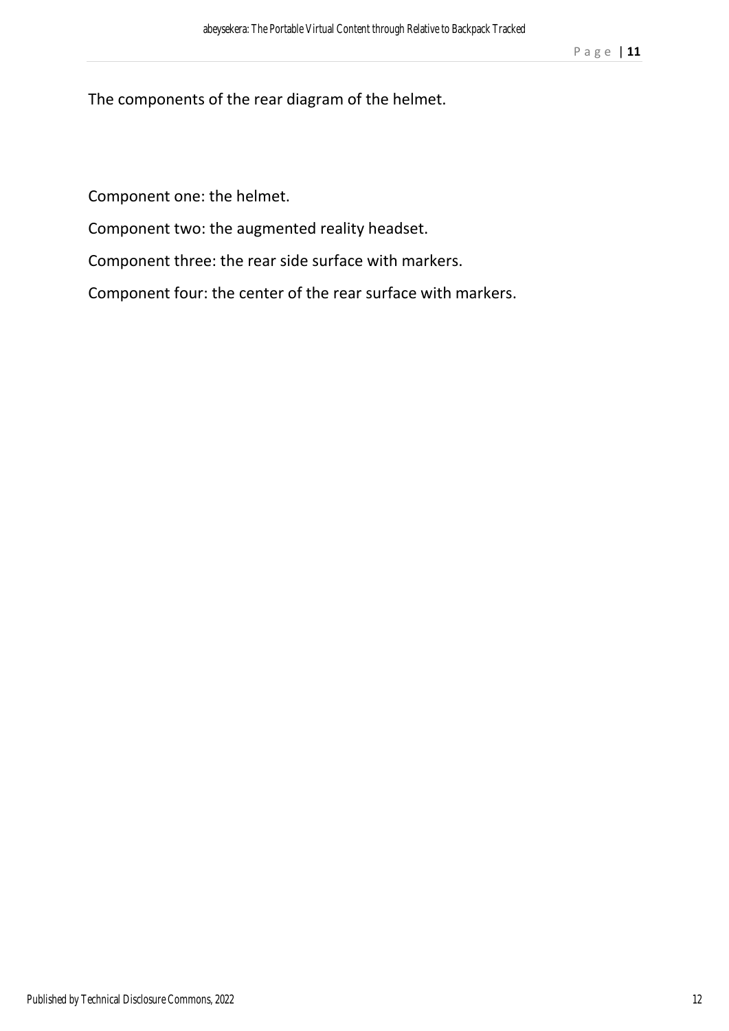The components of the rear diagram of the helmet.

Component one: the helmet.

Component two: the augmented reality headset.

Component three: the rear side surface with markers.

Component four: the center of the rear surface with markers.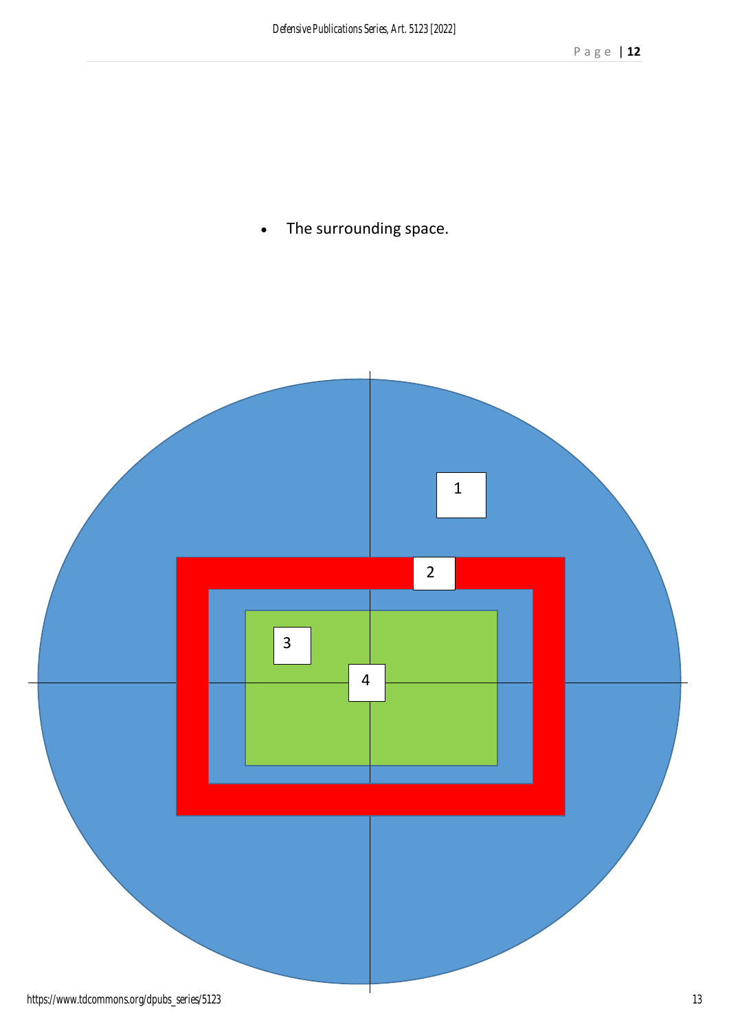The surrounding space.

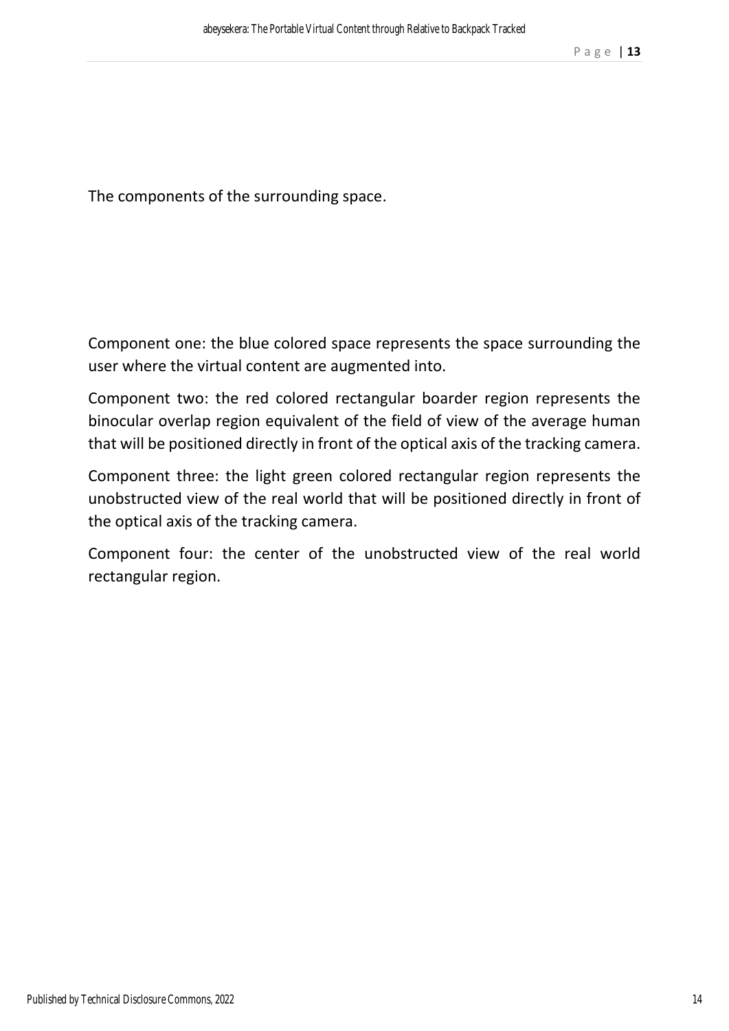The components of the surrounding space.

Component one: the blue colored space represents the space surrounding the user where the virtual content are augmented into.

Component two: the red colored rectangular boarder region represents the binocular overlap region equivalent of the field of view of the average human that will be positioned directly in front of the optical axis of the tracking camera.

Component three: the light green colored rectangular region represents the unobstructed view of the real world that will be positioned directly in front of the optical axis of the tracking camera.

Component four: the center of the unobstructed view of the real world rectangular region.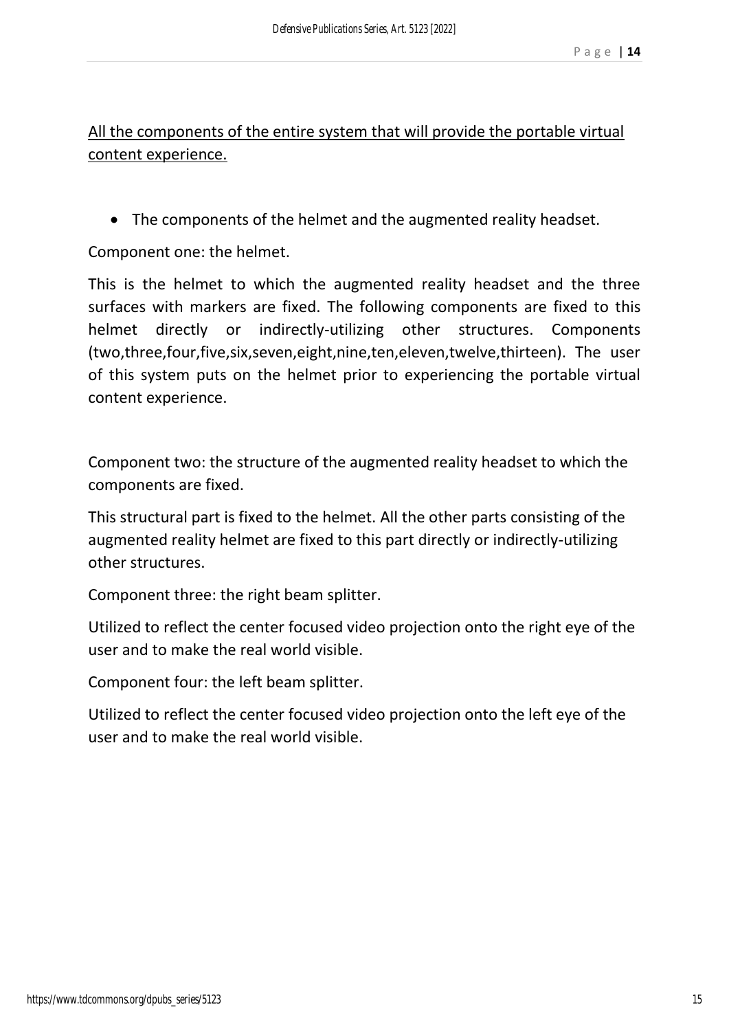All the components of the entire system that will provide the portable virtual content experience.

• The components of the helmet and the augmented reality headset.

Component one: the helmet.

This is the helmet to which the augmented reality headset and the three surfaces with markers are fixed. The following components are fixed to this helmet directly or indirectly-utilizing other structures. Components (two,three,four,five,six,seven,eight,nine,ten,eleven,twelve,thirteen). The user of this system puts on the helmet prior to experiencing the portable virtual content experience.

Component two: the structure of the augmented reality headset to which the components are fixed.

This structural part is fixed to the helmet. All the other parts consisting of the augmented reality helmet are fixed to this part directly or indirectly-utilizing other structures.

Component three: the right beam splitter.

Utilized to reflect the center focused video projection onto the right eye of the user and to make the real world visible.

Component four: the left beam splitter.

Utilized to reflect the center focused video projection onto the left eye of the user and to make the real world visible.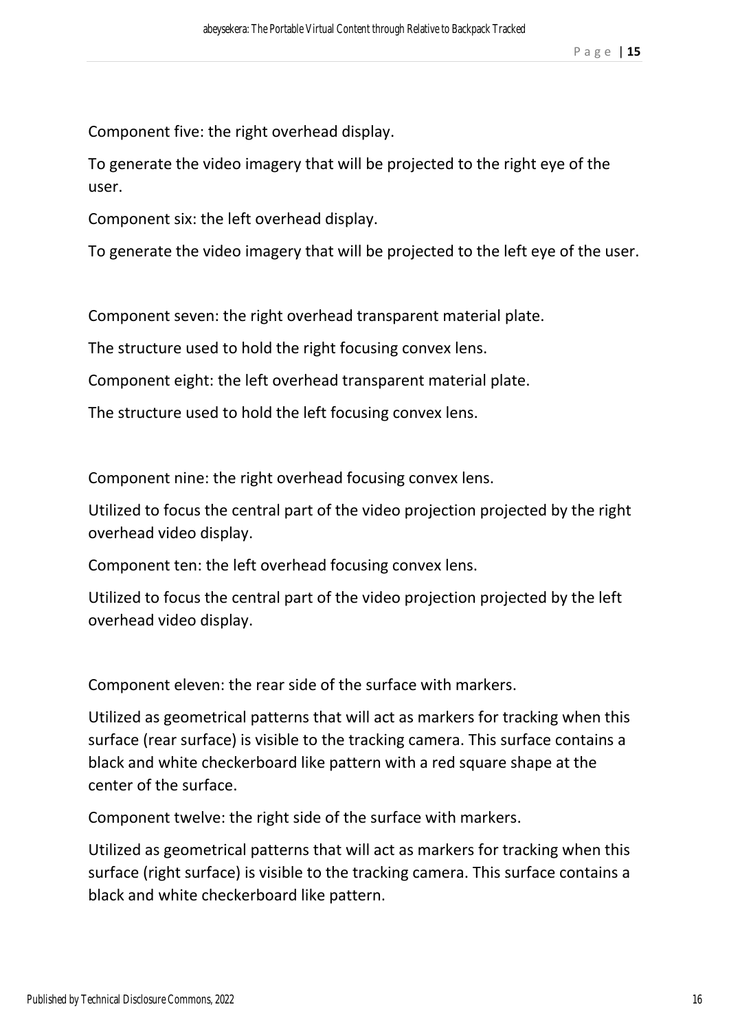Component five: the right overhead display.

To generate the video imagery that will be projected to the right eye of the user.

Component six: the left overhead display.

To generate the video imagery that will be projected to the left eye of the user.

Component seven: the right overhead transparent material plate.

The structure used to hold the right focusing convex lens.

Component eight: the left overhead transparent material plate.

The structure used to hold the left focusing convex lens.

Component nine: the right overhead focusing convex lens.

Utilized to focus the central part of the video projection projected by the right overhead video display.

Component ten: the left overhead focusing convex lens.

Utilized to focus the central part of the video projection projected by the left overhead video display.

Component eleven: the rear side of the surface with markers.

Utilized as geometrical patterns that will act as markers for tracking when this surface (rear surface) is visible to the tracking camera. This surface contains a black and white checkerboard like pattern with a red square shape at the center of the surface.

Component twelve: the right side of the surface with markers.

Utilized as geometrical patterns that will act as markers for tracking when this surface (right surface) is visible to the tracking camera. This surface contains a black and white checkerboard like pattern.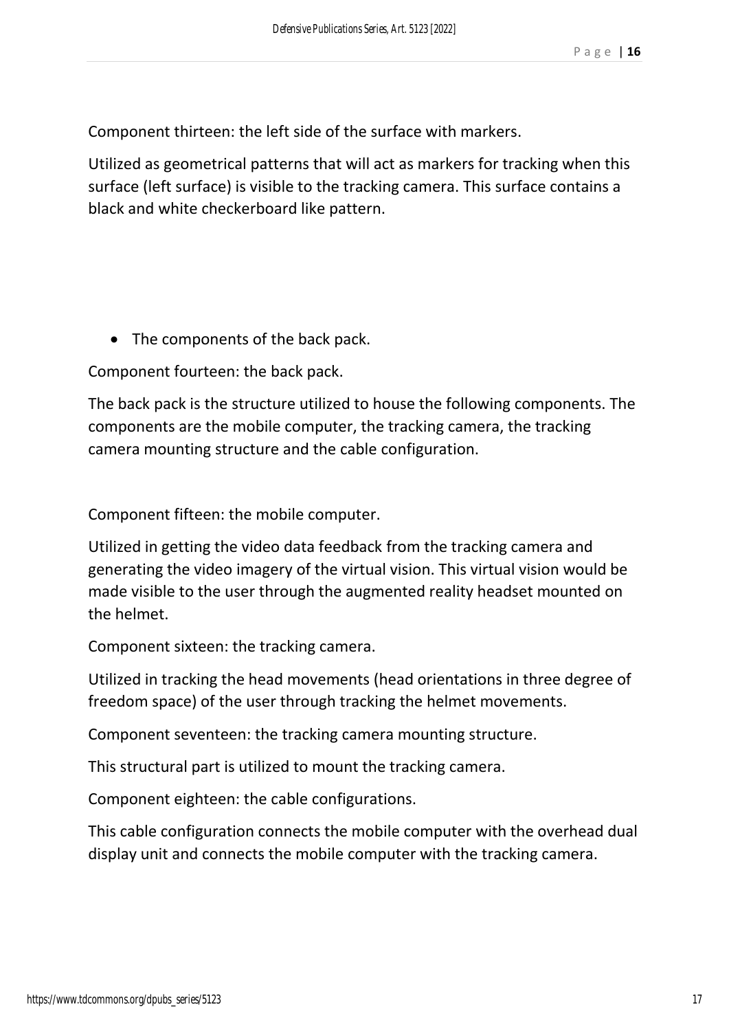Component thirteen: the left side of the surface with markers.

Utilized as geometrical patterns that will act as markers for tracking when this surface (left surface) is visible to the tracking camera. This surface contains a black and white checkerboard like pattern.

• The components of the back pack.

Component fourteen: the back pack.

The back pack is the structure utilized to house the following components. The components are the mobile computer, the tracking camera, the tracking camera mounting structure and the cable configuration.

Component fifteen: the mobile computer.

Utilized in getting the video data feedback from the tracking camera and generating the video imagery of the virtual vision. This virtual vision would be made visible to the user through the augmented reality headset mounted on the helmet.

Component sixteen: the tracking camera.

Utilized in tracking the head movements (head orientations in three degree of freedom space) of the user through tracking the helmet movements.

Component seventeen: the tracking camera mounting structure.

This structural part is utilized to mount the tracking camera.

Component eighteen: the cable configurations.

This cable configuration connects the mobile computer with the overhead dual display unit and connects the mobile computer with the tracking camera.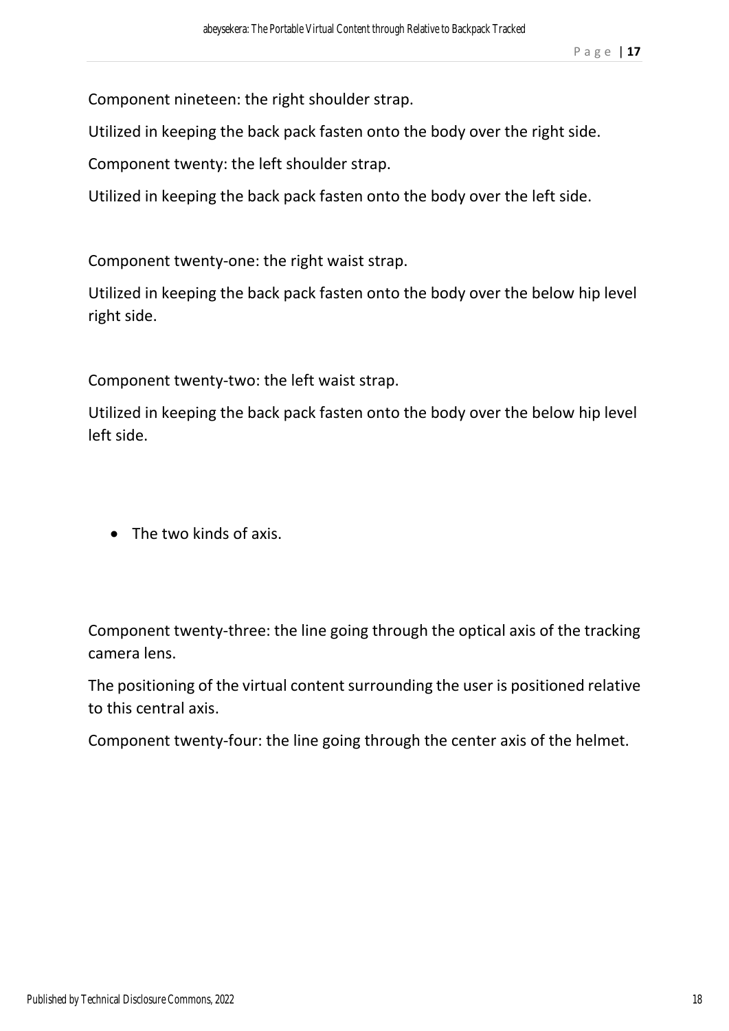Component nineteen: the right shoulder strap.

Utilized in keeping the back pack fasten onto the body over the right side.

Component twenty: the left shoulder strap.

Utilized in keeping the back pack fasten onto the body over the left side.

Component twenty-one: the right waist strap.

Utilized in keeping the back pack fasten onto the body over the below hip level right side.

Component twenty-two: the left waist strap.

Utilized in keeping the back pack fasten onto the body over the below hip level left side.

• The two kinds of axis.

Component twenty-three: the line going through the optical axis of the tracking camera lens.

The positioning of the virtual content surrounding the user is positioned relative to this central axis.

Component twenty-four: the line going through the center axis of the helmet.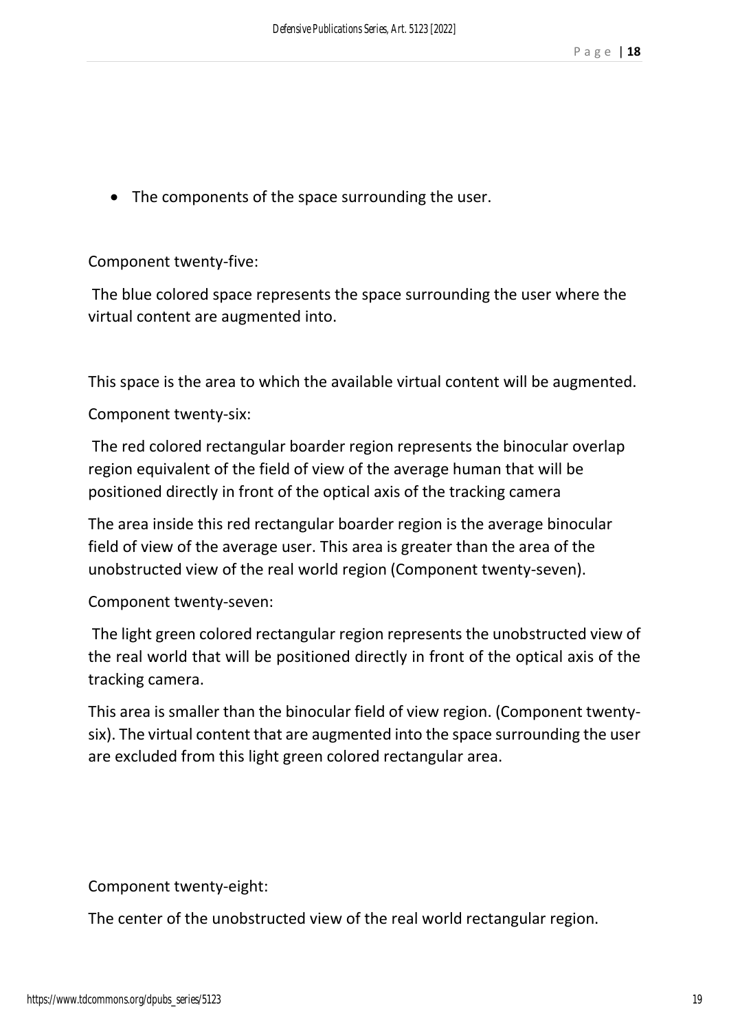• The components of the space surrounding the user.

Component twenty-five:

 The blue colored space represents the space surrounding the user where the virtual content are augmented into.

This space is the area to which the available virtual content will be augmented.

Component twenty-six:

 The red colored rectangular boarder region represents the binocular overlap region equivalent of the field of view of the average human that will be positioned directly in front of the optical axis of the tracking camera

The area inside this red rectangular boarder region is the average binocular field of view of the average user. This area is greater than the area of the unobstructed view of the real world region (Component twenty-seven).

Component twenty-seven:

 The light green colored rectangular region represents the unobstructed view of the real world that will be positioned directly in front of the optical axis of the tracking camera.

This area is smaller than the binocular field of view region. (Component twentysix). The virtual content that are augmented into the space surrounding the user are excluded from this light green colored rectangular area.

Component twenty-eight:

The center of the unobstructed view of the real world rectangular region.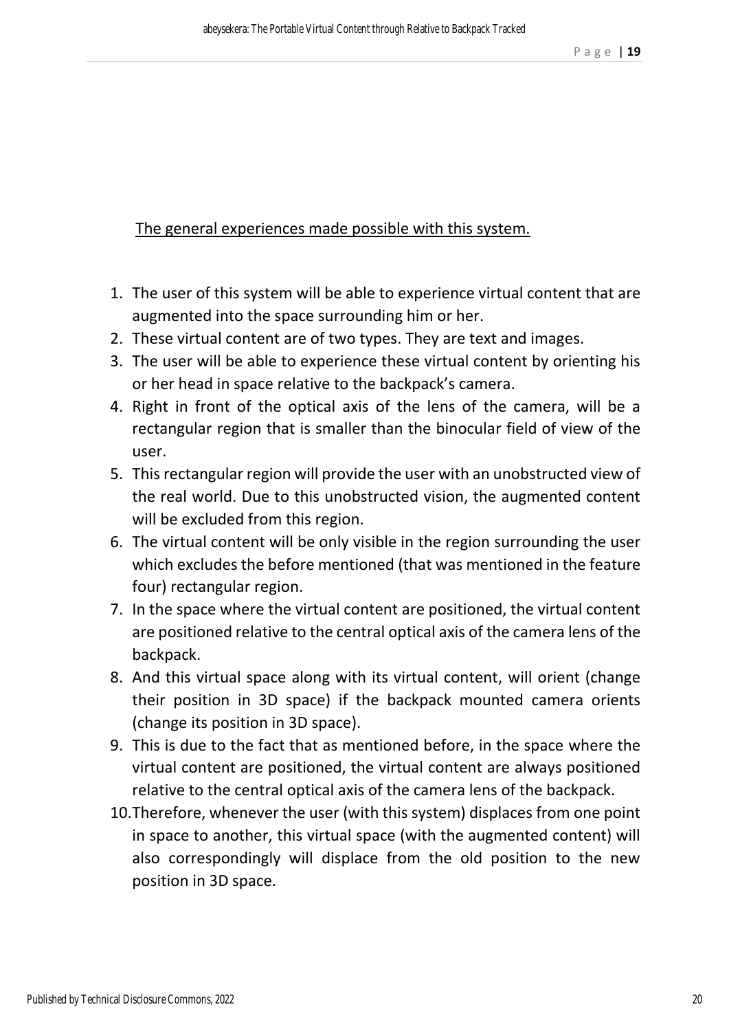The general experiences made possible with this system.

- 1. The user of this system will be able to experience virtual content that are augmented into the space surrounding him or her.
- 2. These virtual content are of two types. They are text and images.
- 3. The user will be able to experience these virtual content by orienting his or her head in space relative to the backpack's camera.
- 4. Right in front of the optical axis of the lens of the camera, will be a rectangular region that is smaller than the binocular field of view of the user.
- 5. This rectangular region will provide the user with an unobstructed view of the real world. Due to this unobstructed vision, the augmented content will be excluded from this region.
- 6. The virtual content will be only visible in the region surrounding the user which excludes the before mentioned (that was mentioned in the feature four) rectangular region.
- 7. In the space where the virtual content are positioned, the virtual content are positioned relative to the central optical axis of the camera lens of the backpack.
- 8. And this virtual space along with its virtual content, will orient (change their position in 3D space) if the backpack mounted camera orients (change its position in 3D space).
- 9. This is due to the fact that as mentioned before, in the space where the virtual content are positioned, the virtual content are always positioned relative to the central optical axis of the camera lens of the backpack.
- 10.Therefore, whenever the user (with this system) displaces from one point in space to another, this virtual space (with the augmented content) will also correspondingly will displace from the old position to the new position in 3D space.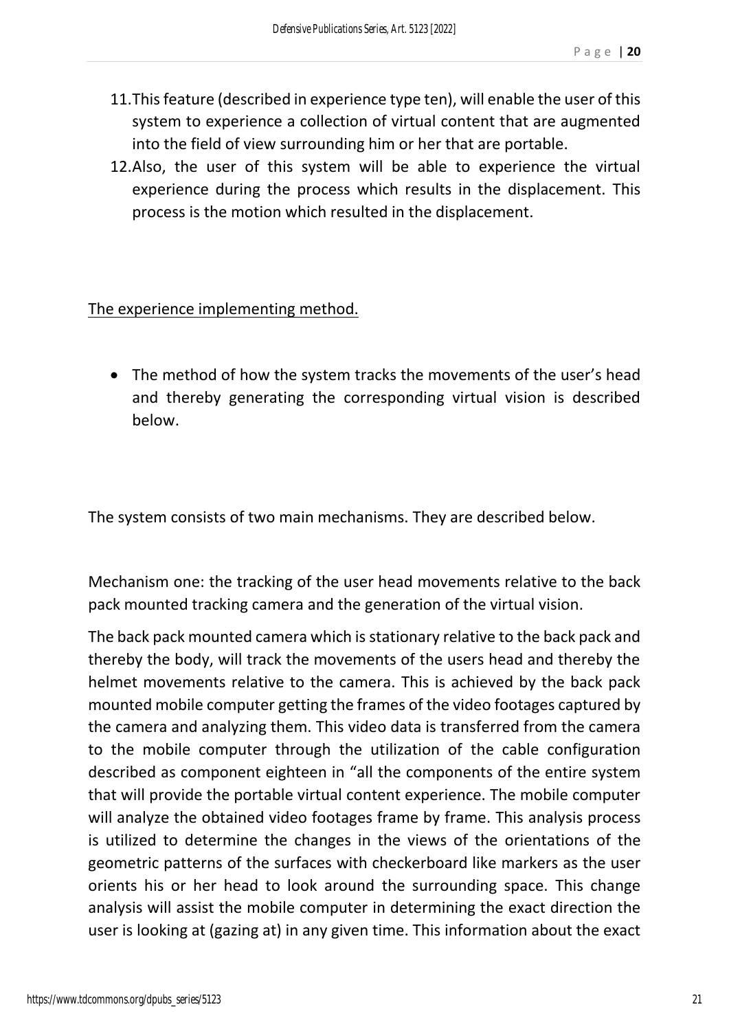- 11.This feature (described in experience type ten), will enable the user of this system to experience a collection of virtual content that are augmented into the field of view surrounding him or her that are portable.
- 12.Also, the user of this system will be able to experience the virtual experience during the process which results in the displacement. This process is the motion which resulted in the displacement.

#### The experience implementing method.

• The method of how the system tracks the movements of the user's head and thereby generating the corresponding virtual vision is described below.

The system consists of two main mechanisms. They are described below.

Mechanism one: the tracking of the user head movements relative to the back pack mounted tracking camera and the generation of the virtual vision.

The back pack mounted camera which is stationary relative to the back pack and thereby the body, will track the movements of the users head and thereby the helmet movements relative to the camera. This is achieved by the back pack mounted mobile computer getting the frames of the video footages captured by the camera and analyzing them. This video data is transferred from the camera to the mobile computer through the utilization of the cable configuration described as component eighteen in "all the components of the entire system that will provide the portable virtual content experience. The mobile computer will analyze the obtained video footages frame by frame. This analysis process is utilized to determine the changes in the views of the orientations of the geometric patterns of the surfaces with checkerboard like markers as the user orients his or her head to look around the surrounding space. This change analysis will assist the mobile computer in determining the exact direction the user is looking at (gazing at) in any given time. This information about the exact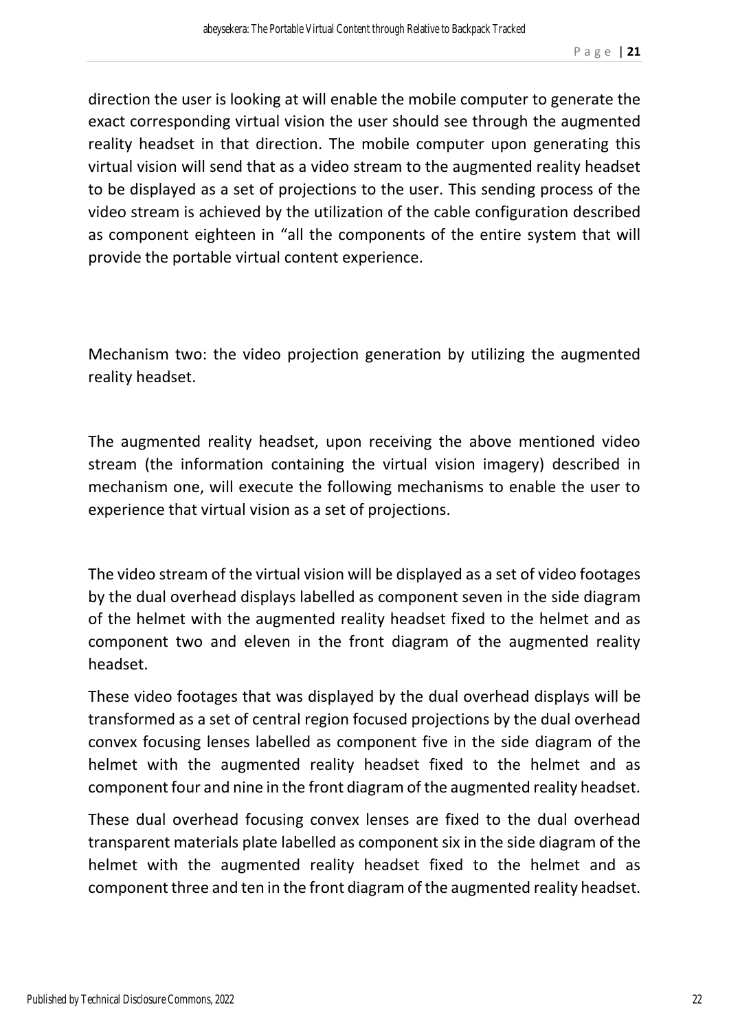direction the user is looking at will enable the mobile computer to generate the exact corresponding virtual vision the user should see through the augmented reality headset in that direction. The mobile computer upon generating this virtual vision will send that as a video stream to the augmented reality headset to be displayed as a set of projections to the user. This sending process of the video stream is achieved by the utilization of the cable configuration described as component eighteen in "all the components of the entire system that will provide the portable virtual content experience.

Mechanism two: the video projection generation by utilizing the augmented reality headset.

The augmented reality headset, upon receiving the above mentioned video stream (the information containing the virtual vision imagery) described in mechanism one, will execute the following mechanisms to enable the user to experience that virtual vision as a set of projections.

The video stream of the virtual vision will be displayed as a set of video footages by the dual overhead displays labelled as component seven in the side diagram of the helmet with the augmented reality headset fixed to the helmet and as component two and eleven in the front diagram of the augmented reality headset.

These video footages that was displayed by the dual overhead displays will be transformed as a set of central region focused projections by the dual overhead convex focusing lenses labelled as component five in the side diagram of the helmet with the augmented reality headset fixed to the helmet and as component four and nine in the front diagram of the augmented reality headset.

These dual overhead focusing convex lenses are fixed to the dual overhead transparent materials plate labelled as component six in the side diagram of the helmet with the augmented reality headset fixed to the helmet and as component three and ten in the front diagram of the augmented reality headset.